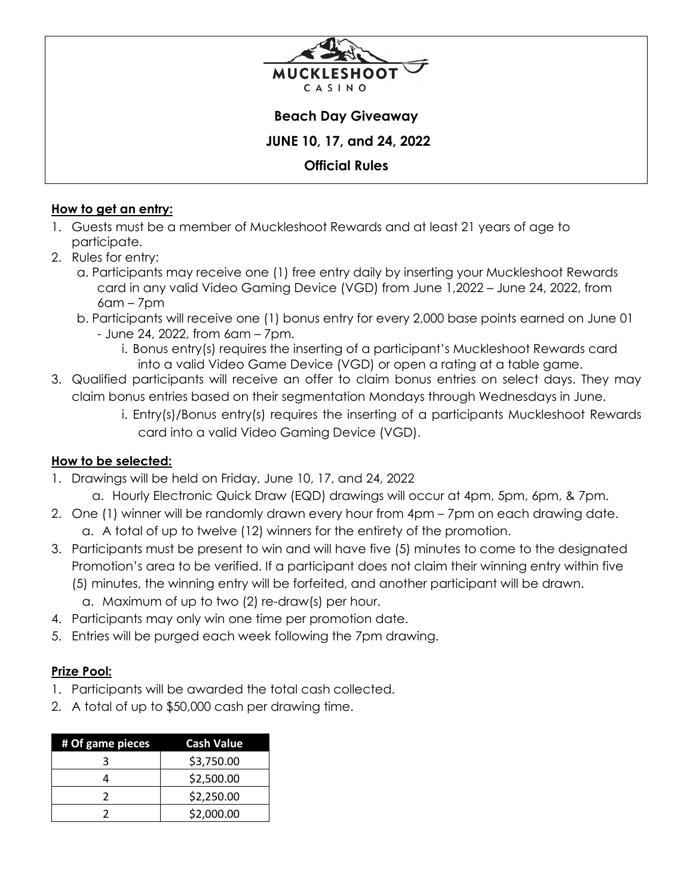

#### **Beach Day Giveaway**

 **JUNE 10, 17, and 24, 2022** 

## **Official Rules**

#### **How to get an entry:**

- 1. Guests must be a member of Muckleshoot Rewards and at least 21 years of age to participate.
- 2. Rules for entry:
	- a. Participants may receive one (1) free entry daily by inserting your Muckleshoot Rewards card in any valid Video Gaming Device (VGD) from June 1,2022 – June 24, 2022, from  $6$ am – 7 $pm$
	- b. Participants will receive one (1) bonus entry for every 2,000 base points earned on June 01
		- June 24, 2022, from 6am 7pm.
			- i. Bonus entry(s) requires the inserting of a participant's Muckleshoot Rewards card into a valid Video Game Device (VGD) or open a rating at a table game.
- 3. Qualified participants will receive an offer to claim bonus entries on select days. They may claim bonus entries based on their segmentation Mondays through Wednesdays in June.
	- i. Entry(s)/Bonus entry(s) requires the inserting of a participants Muckleshoot Rewards card into a valid Video Gaming Device (VGD).

## **How to be selected:**

- 1. Drawings will be held on Friday, June 10, 17, and 24, 2022
	- a. Hourly Electronic Quick Draw (EQD) drawings will occur at 4pm, 5pm, 6pm, & 7pm.
- 2. One (1) winner will be randomly drawn every hour from 4pm 7pm on each drawing date. a. A total of up to twelve (12) winners for the entirety of the promotion.
- 3. Participants must be present to win and will have five (5) minutes to come to the designated Promotion's area to be verified. If a participant does not claim their winning entry within five (5) minutes, the winning entry will be forfeited, and another participant will be drawn.
	- a. Maximum of up to two (2) re-draw(s) per hour.
- 4. Participants may only win one time per promotion date.
- 5. Entries will be purged each week following the 7pm drawing.

## **Prize Pool:**

- 1. Participants will be awarded the total cash collected.
- 2. A total of up to \$50,000 cash per drawing time.

| # Of game pieces | <b>Cash Value</b> |
|------------------|-------------------|
|                  | \$3,750.00        |
|                  | \$2,500.00        |
|                  | \$2,250.00        |
|                  | \$2,000.00        |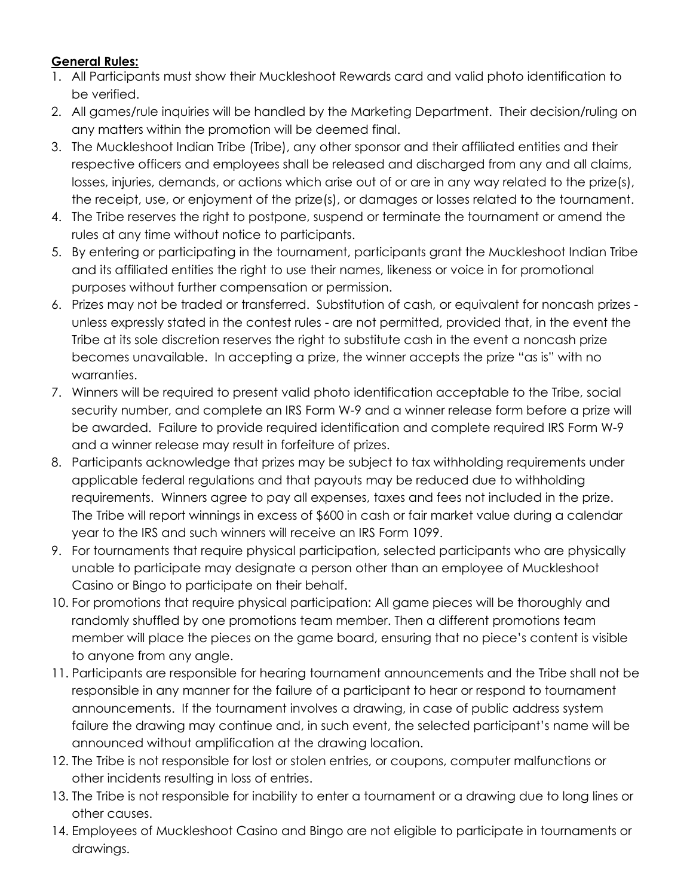# **General Rules:**

- 1. All Participants must show their Muckleshoot Rewards card and valid photo identification to be verified.
- 2. All games/rule inquiries will be handled by the Marketing Department. Their decision/ruling on any matters within the promotion will be deemed final.
- 3. The Muckleshoot Indian Tribe (Tribe), any other sponsor and their affiliated entities and their respective officers and employees shall be released and discharged from any and all claims, losses, injuries, demands, or actions which arise out of or are in any way related to the prize(s), the receipt, use, or enjoyment of the prize(s), or damages or losses related to the tournament.
- 4. The Tribe reserves the right to postpone, suspend or terminate the tournament or amend the rules at any time without notice to participants.
- 5. By entering or participating in the tournament, participants grant the Muckleshoot Indian Tribe and its affiliated entities the right to use their names, likeness or voice in for promotional purposes without further compensation or permission.
- 6. Prizes may not be traded or transferred. Substitution of cash, or equivalent for noncash prizes unless expressly stated in the contest rules - are not permitted, provided that, in the event the Tribe at its sole discretion reserves the right to substitute cash in the event a noncash prize becomes unavailable. In accepting a prize, the winner accepts the prize "as is" with no warranties.
- 7. Winners will be required to present valid photo identification acceptable to the Tribe, social security number, and complete an IRS Form W-9 and a winner release form before a prize will be awarded. Failure to provide required identification and complete required IRS Form W-9 and a winner release may result in forfeiture of prizes.
- 8. Participants acknowledge that prizes may be subject to tax withholding requirements under applicable federal regulations and that payouts may be reduced due to withholding requirements. Winners agree to pay all expenses, taxes and fees not included in the prize. The Tribe will report winnings in excess of \$600 in cash or fair market value during a calendar year to the IRS and such winners will receive an IRS Form 1099.
- 9. For tournaments that require physical participation, selected participants who are physically unable to participate may designate a person other than an employee of Muckleshoot Casino or Bingo to participate on their behalf.
- 10. For promotions that require physical participation: All game pieces will be thoroughly and randomly shuffled by one promotions team member. Then a different promotions team member will place the pieces on the game board, ensuring that no piece's content is visible to anyone from any angle.
- 11. Participants are responsible for hearing tournament announcements and the Tribe shall not be responsible in any manner for the failure of a participant to hear or respond to tournament announcements. If the tournament involves a drawing, in case of public address system failure the drawing may continue and, in such event, the selected participant's name will be announced without amplification at the drawing location.
- 12. The Tribe is not responsible for lost or stolen entries, or coupons, computer malfunctions or other incidents resulting in loss of entries.
- 13. The Tribe is not responsible for inability to enter a tournament or a drawing due to long lines or other causes.
- 14. Employees of Muckleshoot Casino and Bingo are not eligible to participate in tournaments or drawings.